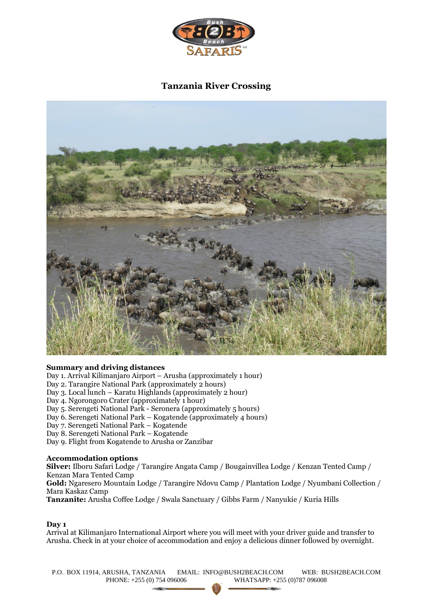

# **Tanzania River Crossing**



# **Summary and driving distances**

Day 1. Arrival Kilimanjaro Airport – Arusha (approximately 1 hour)

Day 2. Tarangire National Park (approximately 2 hours)

Day 3. Local lunch – Karatu Highlands (approximately 2 hour)

Day 4. Ngorongoro Crater (approximately 1 hour)

Day 5. Serengeti National Park - Seronera (approximately 5 hours)

Day 6. Serengeti National Park – Kogatende (approximately 4 hours)

Day 7. Serengeti National Park – Kogatende

Day 8. Serengeti National Park – Kogatende

Day 9. Flight from Kogatende to Arusha or Zanzibar

#### **Accommodation options**

**Silver:** Ilboru Safari Lodge / Tarangire Angata Camp / Bougainvillea Lodge / Kenzan Tented Camp / Kenzan Mara Tented Camp **Gold:** Ngaresero Mountain Lodge / Tarangire Ndovu Camp / Plantation Lodge / Nyumbani Collection / Mara Kaskaz Camp **Tanzanite:** Arusha Coffee Lodge / Swala Sanctuary / Gibbs Farm / Nanyukie / Kuria Hills

#### **Day 1**

Arrival at Kilimanjaro International Airport where you will meet with your driver guide and transfer to Arusha. Check in at your choice of accommodation and enjoy a delicious dinner followed by overnight.

P.O. BOX 11914, ARUSHA, TANZANIA EMAIL: INFO@BUSH2BEACH.COM WEB: BUSH2BEACH.COM PHONE: +255 (0) 754 096006 WHATSAPP: +255 (0)787 096008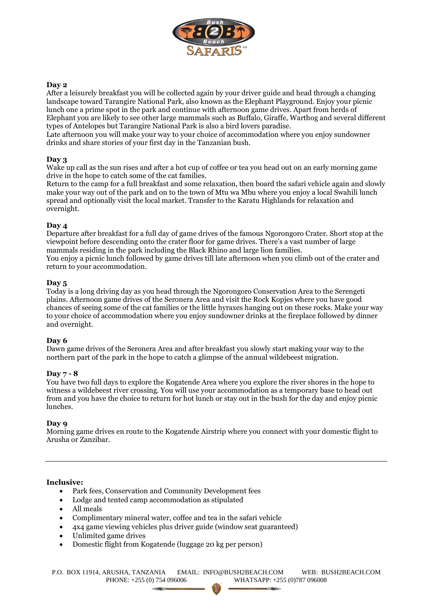

# **Day 2**

After a leisurely breakfast you will be collected again by your driver guide and head through a changing landscape toward Tarangire National Park, also known as the Elephant Playground. Enjoy your picnic lunch one a prime spot in the park and continue with afternoon game drives. Apart from herds of Elephant you are likely to see other large mammals such as Buffalo, Giraffe, Warthog and several different types of Antelopes but Tarangire National Park is also a bird lovers paradise.

Late afternoon you will make your way to your choice of accommodation where you enjoy sundowner drinks and share stories of your first day in the Tanzanian bush.

# **Day 3**

Wake up call as the sun rises and after a hot cup of coffee or tea you head out on an early morning game drive in the hope to catch some of the cat families.

Return to the camp for a full breakfast and some relaxation, then board the safari vehicle again and slowly make your way out of the park and on to the town of Mtu wa Mbu where you enjoy a local Swahili lunch spread and optionally visit the local market. Transfer to the Karatu Highlands for relaxation and overnight.

# **Day 4**

Departure after breakfast for a full day of game drives of the famous Ngorongoro Crater. Short stop at the viewpoint before descending onto the crater floor for game drives. There's a vast number of large mammals residing in the park including the Black Rhino and large lion families. You enjoy a picnic lunch followed by game drives till late afternoon when you climb out of the crater and return to your accommodation.

#### **Day 5**

Today is a long driving day as you head through the Ngorongoro Conservation Area to the Serengeti plains. Afternoon game drives of the Seronera Area and visit the Rock Kopjes where you have good chances of seeing some of the cat families or the little hyraxes hanging out on these rocks. Make your way to your choice of accommodation where you enjoy sundowner drinks at the fireplace followed by dinner and overnight.

#### **Day 6**

Dawn game drives of the Seronera Area and after breakfast you slowly start making your way to the northern part of the park in the hope to catch a glimpse of the annual wildebeest migration.

#### **Day 7 - 8**

You have two full days to explore the Kogatende Area where you explore the river shores in the hope to witness a wildebeest river crossing. You will use your accommodation as a temporary base to head out from and you have the choice to return for hot lunch or stay out in the bush for the day and enjoy picnic lunches.

#### **Day 9**

Morning game drives en route to the Kogatende Airstrip where you connect with your domestic flight to Arusha or Zanzibar.

#### **Inclusive:**

- Park fees, Conservation and Community Development fees
- Lodge and tented camp accommodation as stipulated
- All meals
- Complimentary mineral water, coffee and tea in the safari vehicle
- 4x4 game viewing vehicles plus driver guide (window seat guaranteed)
- Unlimited game drives
- Domestic flight from Kogatende (luggage 20 kg per person)